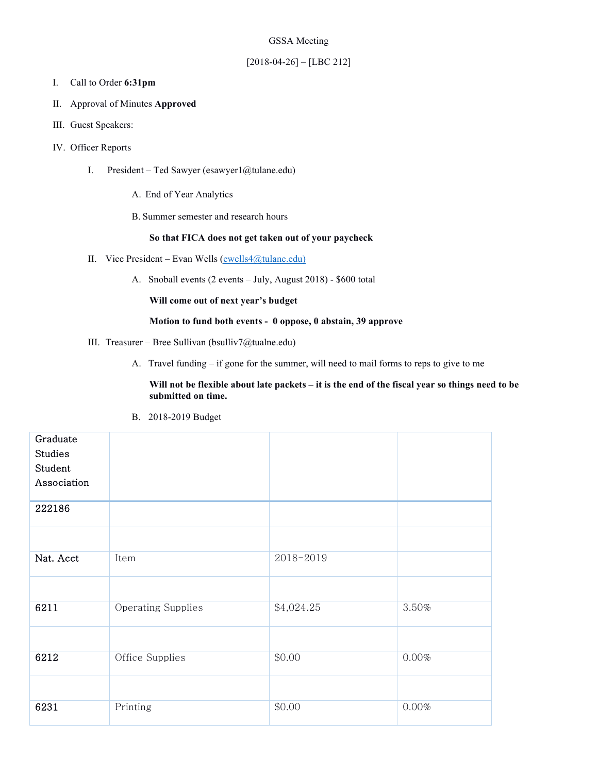### GSSA Meeting

## [2018-04-26] – [LBC 212]

#### I. Call to Order **6:31pm**

- II. Approval of Minutes **Approved**
- III. Guest Speakers:
- IV. Officer Reports
	- I. President Ted Sawyer (esawyer1@tulane.edu)
		- A. End of Year Analytics
		- B. Summer semester and research hours

#### **So that FICA does not get taken out of your paycheck**

- II. Vice President Evan Wells  $(ewells4@tulane.edu)$ 
	- A. Snoball events (2 events July, August 2018) \$600 total

## **Will come out of next year's budget**

# **Motion to fund both events - 0 oppose, 0 abstain, 39 approve**

- III. Treasurer Bree Sullivan (bsulliv7@tualne.edu)
	- A. Travel funding if gone for the summer, will need to mail forms to reps to give to me

**Will not be flexible about late packets – it is the end of the fiscal year so things need to be submitted on time.**

B. 2018-2019 Budget

| Graduate<br><b>Studies</b><br>Student |                           |            |       |
|---------------------------------------|---------------------------|------------|-------|
| Association                           |                           |            |       |
| 222186                                |                           |            |       |
|                                       |                           |            |       |
| Nat. Acct                             | Item                      | 2018-2019  |       |
|                                       |                           |            |       |
| 6211                                  | <b>Operating Supplies</b> | \$4,024.25 | 3.50% |
|                                       |                           |            |       |
| 6212                                  | Office Supplies           | \$0.00     | 0.00% |
|                                       |                           |            |       |
| 6231                                  | Printing                  | \$0.00     | 0.00% |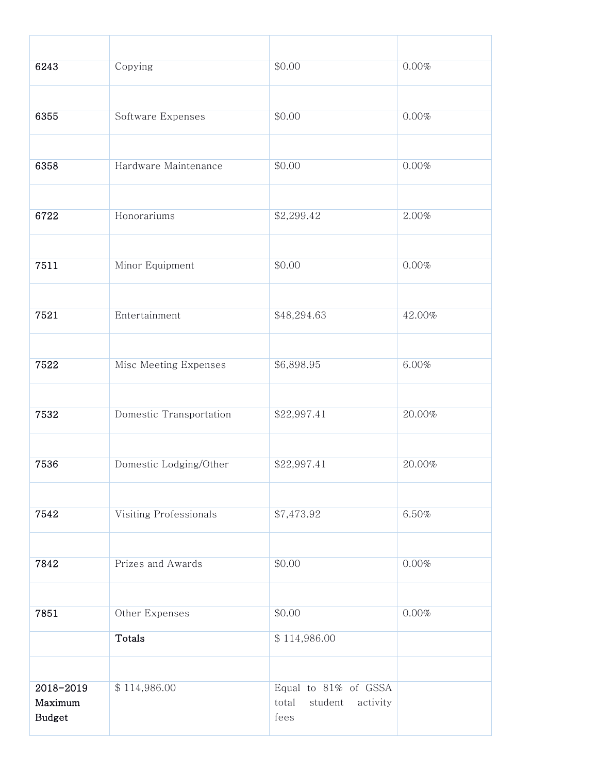| 6243                     | Copying                 | \$0.00                               | 0.00%  |
|--------------------------|-------------------------|--------------------------------------|--------|
|                          |                         |                                      |        |
| 6355                     | Software Expenses       | \$0.00                               | 0.00%  |
|                          |                         |                                      |        |
| 6358                     | Hardware Maintenance    | \$0.00                               | 0.00%  |
|                          |                         |                                      |        |
| 6722                     | Honorariums             | \$2,299.42                           | 2.00%  |
|                          |                         |                                      |        |
| 7511                     | Minor Equipment         | \$0.00                               | 0.00%  |
|                          |                         |                                      |        |
| 7521                     | Entertainment           | \$48,294.63                          | 42.00% |
|                          |                         |                                      |        |
| 7522                     | Misc Meeting Expenses   | \$6,898.95                           | 6.00%  |
|                          |                         |                                      |        |
| 7532                     | Domestic Transportation | \$22,997.41                          | 20.00% |
|                          |                         |                                      |        |
| 7536                     | Domestic Lodging/Other  | \$22,997.41                          | 20.00% |
|                          |                         |                                      |        |
| 7542                     | Visiting Professionals  | \$7,473.92                           | 6.50%  |
|                          |                         |                                      |        |
| 7842                     | Prizes and Awards       | \$0.00                               | 0.00%  |
|                          |                         |                                      |        |
| 7851                     | Other Expenses          | \$0.00                               | 0.00%  |
|                          | Totals                  | \$114,986.00                         |        |
|                          |                         |                                      |        |
| 2018-2019                | \$114,986.00            | Equal to 81% of GSSA                 |        |
| Maximum<br><b>Budget</b> |                         | total<br>student<br>activity<br>fees |        |
|                          |                         |                                      |        |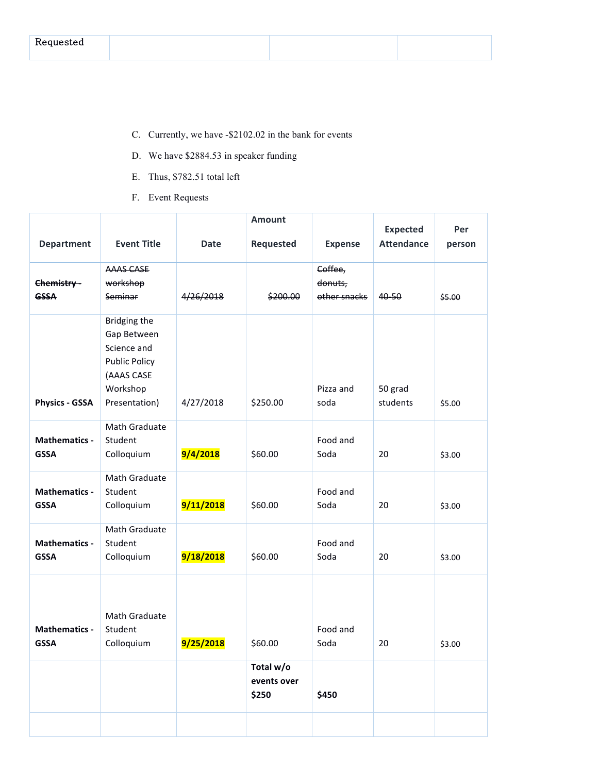| $\sim$ $\sim$ $\sim$ $\sim$ $\sim$ $\sim$<br>$1.10$ and $2.10$ and $2.10$ |  |  |
|---------------------------------------------------------------------------|--|--|
|                                                                           |  |  |

- C. Currently, we have -\$2102.02 in the bank for events
- D. We have \$2884.53 in speaker funding
- E. Thus, \$782.51 total left
- F. Event Requests

|                                     |                             |             | <b>Amount</b> |                         | <b>Expected</b>     | Per    |
|-------------------------------------|-----------------------------|-------------|---------------|-------------------------|---------------------|--------|
| <b>Department</b>                   | <b>Event Title</b>          | <b>Date</b> | Requested     | <b>Expense</b>          | <b>Attendance</b>   | person |
|                                     | AAAS CASE                   |             |               | Coffee,                 |                     |        |
| Chemistry-<br><b>GSSA</b>           | workshop<br>Seminar         | 4/26/2018   | \$200.00      | donuts,<br>other snacks | 40-50               | \$5.00 |
|                                     |                             |             |               |                         |                     |        |
|                                     | Bridging the<br>Gap Between |             |               |                         |                     |        |
|                                     | Science and                 |             |               |                         |                     |        |
|                                     | <b>Public Policy</b>        |             |               |                         |                     |        |
|                                     | (AAAS CASE                  |             |               |                         |                     |        |
| <b>Physics - GSSA</b>               | Workshop<br>Presentation)   | 4/27/2018   | \$250.00      | Pizza and<br>soda       | 50 grad<br>students | \$5.00 |
|                                     |                             |             |               |                         |                     |        |
|                                     | Math Graduate               |             |               |                         |                     |        |
| <b>Mathematics -</b><br><b>GSSA</b> | Student<br>Colloquium       | 9/4/2018    | \$60.00       | Food and<br>Soda        | 20                  | \$3.00 |
|                                     |                             |             |               |                         |                     |        |
| <b>Mathematics -</b>                | Math Graduate<br>Student    |             |               | Food and                |                     |        |
| <b>GSSA</b>                         | Colloquium                  | 9/11/2018   | \$60.00       | Soda                    | 20                  | \$3.00 |
|                                     |                             |             |               |                         |                     |        |
| <b>Mathematics -</b>                | Math Graduate<br>Student    |             |               | Food and                |                     |        |
| <b>GSSA</b>                         | Colloquium                  | 9/18/2018   | \$60.00       | Soda                    | 20                  | \$3.00 |
|                                     |                             |             |               |                         |                     |        |
|                                     |                             |             |               |                         |                     |        |
|                                     |                             |             |               |                         |                     |        |
| <b>Mathematics -</b>                | Math Graduate<br>Student    |             |               | Food and                |                     |        |
| <b>GSSA</b>                         | Colloquium                  | 9/25/2018   | \$60.00       | Soda                    | 20                  | \$3.00 |
|                                     |                             |             | Total w/o     |                         |                     |        |
|                                     |                             |             | events over   |                         |                     |        |
|                                     |                             |             | \$250         | \$450                   |                     |        |
|                                     |                             |             |               |                         |                     |        |
|                                     |                             |             |               |                         |                     |        |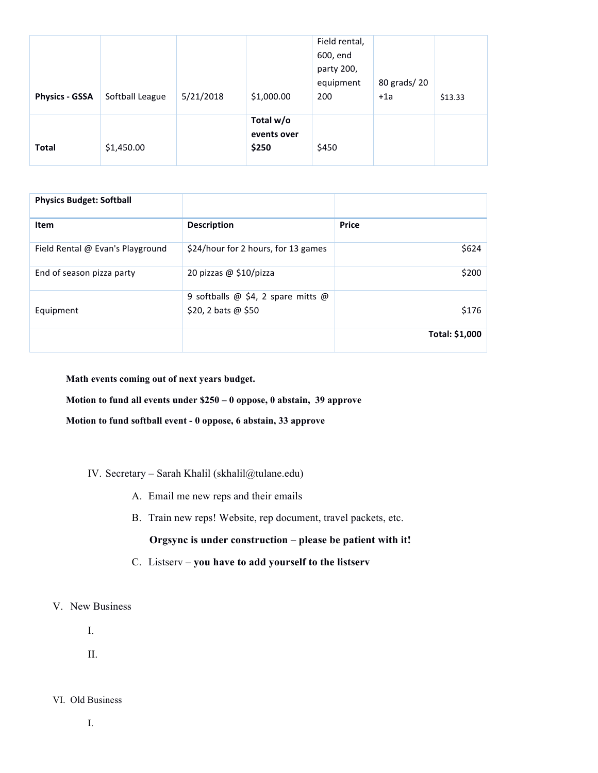| <b>Physics - GSSA</b> | Softball League | 5/21/2018 | \$1,000.00                        | Field rental,<br>600, end<br>party 200,<br>equipment<br>200 | 80 grads/20<br>$+1a$ | \$13.33 |
|-----------------------|-----------------|-----------|-----------------------------------|-------------------------------------------------------------|----------------------|---------|
| <b>Total</b>          | \$1,450.00      |           | Total w/o<br>events over<br>\$250 | \$450                                                       |                      |         |

| <b>Physics Budget: Softball</b>  |                                                               |                |
|----------------------------------|---------------------------------------------------------------|----------------|
| Item                             | <b>Description</b>                                            | <b>Price</b>   |
| Field Rental @ Evan's Playground | \$24/hour for 2 hours, for 13 games                           | \$624          |
| End of season pizza party        | 20 pizzas $@$ \$10/pizza                                      | \$200          |
| Equipment                        | 9 softballs $@$ \$4, 2 spare mitts $@$<br>\$20, 2 bats @ \$50 | \$176          |
|                                  |                                                               | Total: \$1,000 |

**Math events coming out of next years budget.**

**Motion to fund all events under \$250 – 0 oppose, 0 abstain, 39 approve**

**Motion to fund softball event - 0 oppose, 6 abstain, 33 approve**

# IV. Secretary – Sarah Khalil (skhalil@tulane.edu)

- A. Email me new reps and their emails
- B. Train new reps! Website, rep document, travel packets, etc.

**Orgsync is under construction – please be patient with it!**

- C. Listserv **you have to add yourself to the listserv**
- V. New Business

I.

II.

## VI. Old Business